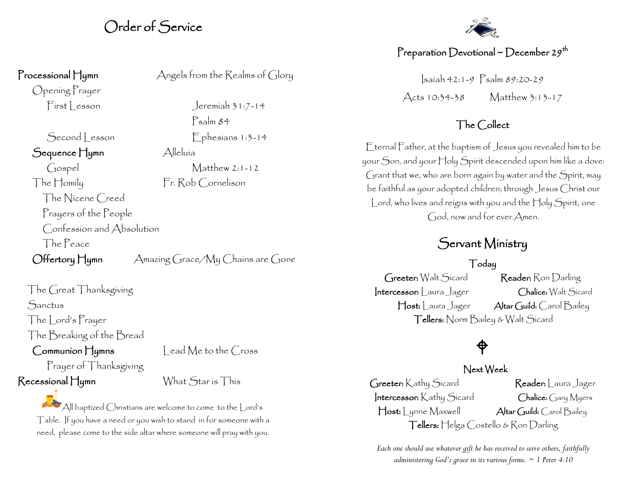## Order of Service

Opening Prayer

Second Lesson Ephesians 1:3-14 Sequence Hymn Alleluía Gospel Matthew 2:1-12 The Homily Fr. Rob Cornelison The Nicene Creed Prayers of the People Confession and Absolution The Peace

Offertory Hymn Amazing Grace/My Chains are Gone

The Great Thanksgiving Sanctus The Lord's Prayer

The Breaking of the Bread

Communion Hymns Lead Me to the Cross

Prayer of Thanksgiving Recessional Hymn What Star is This

All baptized Christians are welcome to come to the Lord's Table. If you have a need or you wish to stand in for someone with a need, please come to the side altar where someone will pray with you.

Processional Hymn Angels from the Realms of Glory

First esson Jeremiah 31:7-14 Psalm 84



### Preparation Devotional ~ December 29<sup>th</sup>

Isaiah 42:1-9 Psalm 89:20-29 Acts 10:34-38 Matthew 3:13-17

#### The Collect

Eternal Father, at the baptism of Jesus you revealed him to be your Son, and your Holy Spirit descended upon him like a dove: Grant that we, who are born again by water and the Spirit, may be faithful as your adopted children; through Jesus Christ our Lord, who lives and reigns with you and the Holy Spirit, one God, now and for ever.Amen.

## Servant Ministry

#### Today

Greeter: Walt Sicard Reader: Ron Darling Intercessor: Laura Jager Chalice: Walt Sicard Host: Laura Jager Altar Guild: Carol Bailey Tellers: Norm Bailey & Walt Sicard

# $\bigoplus$

#### Next Week

Greeter: Kathy Sicard Reader: Laura Jager Intercessor: Kathy Sicard Chalice: Gary Myers Host: | ynne Maxwell Altar Guild: Carol Bailey Tellers: Helga Costello & Ron Darling

*Each one should use whatever gift he has received to serve others, faithfully administering God's grace in its various forms. ~ 1 Peter 4:10*